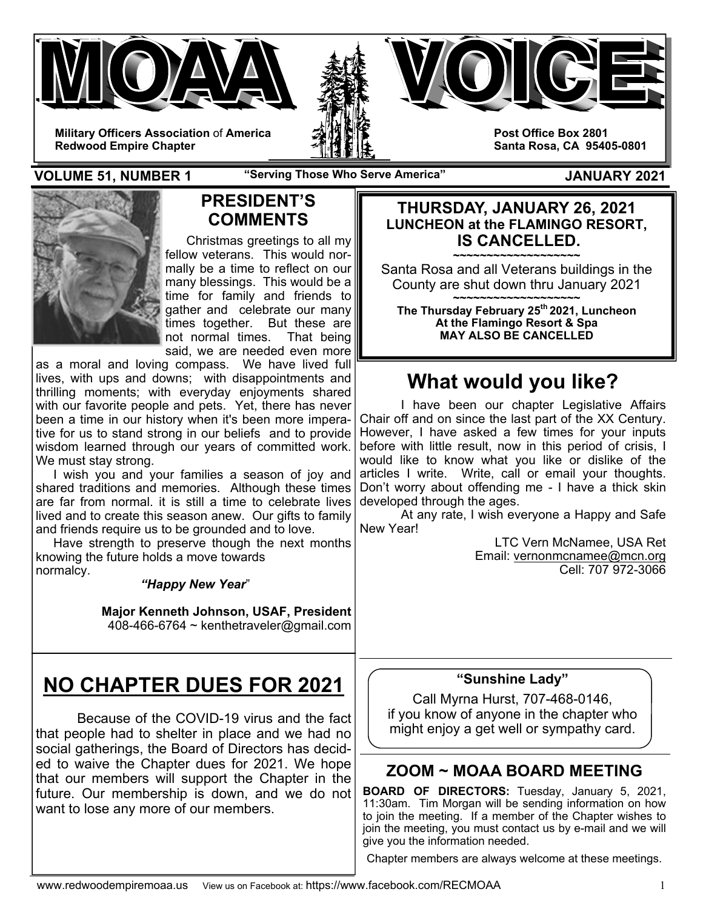





**Post Office Box 2801 Santa Rosa, CA 95405-0801** 

**Redwood Empire Chapter** 

**VOLUME 51, NUMBER 1 "Serving Those Who Serve America" JANUARY 2021** 



# **PRESIDENT'S COMMENTS**

 Christmas greetings to all my fellow veterans. This would normally be a time to reflect on our many blessings. This would be a time for family and friends to gather and celebrate our many times together. But these are not normal times. That being said, we are needed even more

as a moral and loving compass. We have lived full lives, with ups and downs; with disappointments and thrilling moments; with everyday enjoyments shared with our favorite people and pets. Yet, there has never been a time in our history when it's been more imperative for us to stand strong in our beliefs and to provide wisdom learned through our years of committed work. We must stay strong.

 I wish you and your families a season of joy and shared traditions and memories. Although these times are far from normal. it is still a time to celebrate lives lived and to create this season anew. Our gifts to family and friends require us to be grounded and to love.

 Have strength to preserve though the next months knowing the future holds a move towards normalcy.

*"Happy New Year*"

**Major Kenneth Johnson, USAF, President**  408-466-6764 ~ kenthetraveler@gmail.com

# **NO CHAPTER DUES FOR 2021**

Because of the COVID-19 virus and the fact that people had to shelter in place and we had no social gatherings, the Board of Directors has decided to waive the Chapter dues for 2021. We hope that our members will support the Chapter in the future. Our membership is down, and we do not want to lose any more of our members.

#### **THURSDAY, JANUARY 26, 2021 LUNCHEON at the FLAMINGO RESORT, IS CANCELLED.**

**~~~~~~~~~~~~~~~~~~~**  Santa Rosa and all Veterans buildings in the County are shut down thru January 2021

**~~~~~~~~~~~~~~~~~~~ The Thursday February 25th 2021, Luncheon At the Flamingo Resort & Spa MAY ALSO BE CANCELLED** 

# **What would you like?**

I have been our chapter Legislative Affairs Chair off and on since the last part of the XX Century. However, I have asked a few times for your inputs before with little result, now in this period of crisis, I would like to know what you like or dislike of the articles I write. Write, call or email your thoughts. Don't worry about offending me - I have a thick skin developed through the ages.

 At any rate, I wish everyone a Happy and Safe New Year!

> LTC Vern McNamee, USA Ret Email: vernonmcnamee@mcn.org Cell: 707 972-3066

#### **"Sunshine Lady"**

Call Myrna Hurst, 707-468-0146, if you know of anyone in the chapter who might enjoy a get well or sympathy card.

# **ZOOM ~ MOAA BOARD MEETING**

**BOARD OF DIRECTORS:** Tuesday, January 5, 2021, 11:30am. Tim Morgan will be sending information on how to join the meeting. If a member of the Chapter wishes to join the meeting, you must contact us by e-mail and we will give you the information needed.

Chapter members are always welcome at these meetings.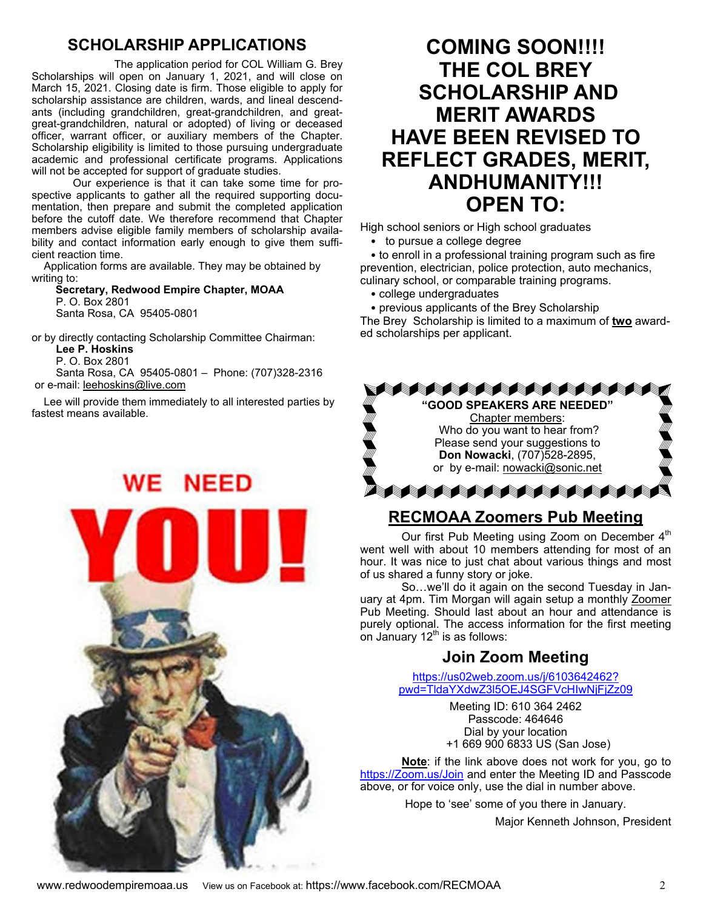### **SCHOLARSHIP APPLICATIONS**

 The application period for COL William G. Brey Scholarships will open on January 1, 2021, and will close on March 15, 2021. Closing date is firm. Those eligible to apply for scholarship assistance are children, wards, and lineal descendants (including grandchildren, great-grandchildren, and greatgreat-grandchildren, natural or adopted) of living or deceased officer, warrant officer, or auxiliary members of the Chapter. Scholarship eligibility is limited to those pursuing undergraduate academic and professional certificate programs. Applications will not be accepted for support of graduate studies.

Our experience is that it can take some time for prospective applicants to gather all the required supporting documentation, then prepare and submit the completed application before the cutoff date. We therefore recommend that Chapter members advise eligible family members of scholarship availability and contact information early enough to give them sufficient reaction time.

 Application forms are available. They may be obtained by writing to:

 **Secretary, Redwood Empire Chapter, MOAA** P. O. Box 2801 Santa Rosa, CA 95405-0801

or by directly contacting Scholarship Committee Chairman:

**Lee P. Hoskins**

 P. O. Box 2801 Santa Rosa, CA 95405-0801 – Phone: (707)328-2316 or e-mail: leehoskins@live.com

 Lee will provide them immediately to all interested parties by fastest means available.

**WE NEED** 

# **COMING SOON!!!! THE COL BREY SCHOLARSHIP AND MERIT AWARDS HAVE BEEN REVISED TO REFLECT GRADES, MERIT, ANDHUMANITY!!! OPEN TO:**

High school seniors or High school graduates

• to pursue a college degree

• to enroll in a professional training program such as fire prevention, electrician, police protection, auto mechanics, culinary school, or comparable training programs.

- college undergraduates
- previous applicants of the Brey Scholarship

The Brey Scholarship is limited to a maximum of **two** awarded scholarships per applicant.



# **RECMOAA Zoomers Pub Meeting**

Our first Pub Meeting using Zoom on December 4<sup>th</sup> went well with about 10 members attending for most of an hour. It was nice to just chat about various things and most of us shared a funny story or joke.

 So…we'll do it again on the second Tuesday in January at 4pm. Tim Morgan will again setup a monthly Zoomer Pub Meeting. Should last about an hour and attendance is purely optional. The access information for the first meeting on January 12 $<sup>th</sup>$  is as follows:</sup>

# **Join Zoom Meeting**

https://us02web.zoom.us/j/6103642462? pwd=TldaYXdwZ3l5OEJ4SGFVcHIwNjFjZz09

> Meeting ID: 610 364 2462 Passcode: 464646 Dial by your location +1 669 900 6833 US (San Jose)

**Note**: if the link above does not work for you, go to https://Zoom.us/Join and enter the Meeting ID and Passcode above, or for voice only, use the dial in number above.

Hope to 'see' some of you there in January.

Major Kenneth Johnson, President

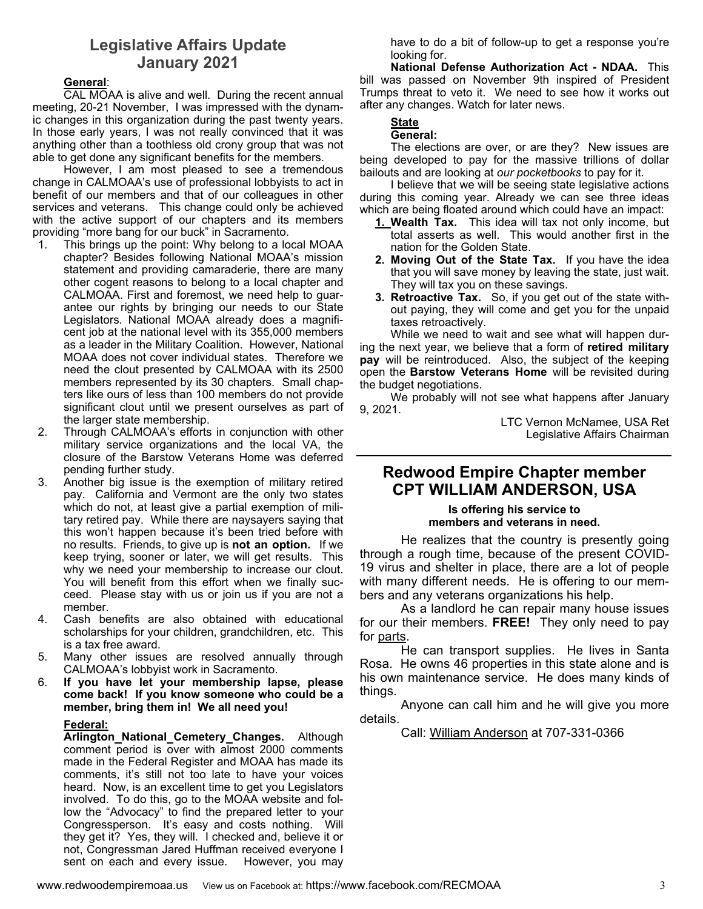#### **Legislative Affairs Update January 2021**

#### **General**:

CAL MOAA is alive and well. During the recent annual meeting, 20-21 November, I was impressed with the dynamic changes in this organization during the past twenty years. In those early years, I was not really convinced that it was anything other than a toothless old crony group that was not able to get done any significant benefits for the members.

However, I am most pleased to see a tremendous change in CALMOAA's use of professional lobbyists to act in benefit of our members and that of our colleagues in other services and veterans. This change could only be achieved with the active support of our chapters and its members providing "more bang for our buck" in Sacramento.

- 1. This brings up the point: Why belong to a local MOAA chapter? Besides following National MOAA's mission statement and providing camaraderie, there are many other cogent reasons to belong to a local chapter and CALMOAA. First and foremost, we need help to guarantee our rights by bringing our needs to our State Legislators. National MOAA already does a magnificent job at the national level with its 355,000 members as a leader in the Military Coalition. However, National MOAA does not cover individual states. Therefore we need the clout presented by CALMOAA with its 2500 members represented by its 30 chapters. Small chapters like ours of less than 100 members do not provide significant clout until we present ourselves as part of the larger state membership.
- 2. Through CALMOAA's efforts in conjunction with other military service organizations and the local VA, the closure of the Barstow Veterans Home was deferred pending further study.
- 3. Another big issue is the exemption of military retired pay. California and Vermont are the only two states which do not, at least give a partial exemption of military retired pay. While there are naysayers saying that this won't happen because it's been tried before with no results. Friends, to give up is **not an option.** If we keep trying, sooner or later, we will get results. This why we need your membership to increase our clout. You will benefit from this effort when we finally succeed. Please stay with us or join us if you are not a member.
- 4. Cash benefits are also obtained with educational scholarships for your children, grandchildren, etc. This is a tax free award.
- 5. Many other issues are resolved annually through CALMOAA's lobbyist work in Sacramento.
- 6. **If you have let your membership lapse, please come back! If you know someone who could be a member, bring them in! We all need you!**

#### **Federal:**

**Arlington National Cemetery Changes.** Although comment period is over with almost 2000 comments made in the Federal Register and MOAA has made its comments, it's still not too late to have your voices heard. Now, is an excellent time to get you Legislators involved. To do this, go to the MOAA website and follow the "Advocacy" to find the prepared letter to your Congressperson. It's easy and costs nothing. Will they get it? Yes, they will. I checked and, believe it or not, Congressman Jared Huffman received everyone I sent on each and every issue. However, you may

have to do a bit of follow-up to get a response you're looking for.

**National Defense Authorization Act - NDAA.** This bill was passed on November 9th inspired of President Trumps threat to veto it. We need to see how it works out after any changes. Watch for later news.

#### **State**

#### **General:**

The elections are over, or are they? New issues are being developed to pay for the massive trillions of dollar bailouts and are looking at *our pocketbooks* to pay for it.

I believe that we will be seeing state legislative actions during this coming year. Already we can see three ideas which are being floated around which could have an impact:

- **1. Wealth Tax.** This idea will tax not only income, but total asserts as well. This would another first in the nation for the Golden State.
- **2. Moving Out of the State Tax.** If you have the idea that you will save money by leaving the state, just wait. They will tax you on these savings.
- **3. Retroactive Tax.** So, if you get out of the state without paying, they will come and get you for the unpaid taxes retroactively.

While we need to wait and see what will happen during the next year, we believe that a form of **retired military pay** will be reintroduced. Also, the subject of the keeping open the **Barstow Veterans Home** will be revisited during the budget negotiations.

We probably will not see what happens after January 9, 2021.

LTC Vernon McNamee, USA Ret Legislative Affairs Chairman

#### **Redwood Empire Chapter member CPT WILLIAM ANDERSON, USA**

#### **Is offering his service to members and veterans in need.**

He realizes that the country is presently going through a rough time, because of the present COVID-19 virus and shelter in place, there are a lot of people with many different needs. He is offering to our members and any veterans organizations his help.

 As a landlord he can repair many house issues for our their members. **FREE!** They only need to pay for parts.

 He can transport supplies. He lives in Santa Rosa. He owns 46 properties in this state alone and is his own maintenance service. He does many kinds of things.

 Anyone can call him and he will give you more details.

Call: William Anderson at 707-331-0366